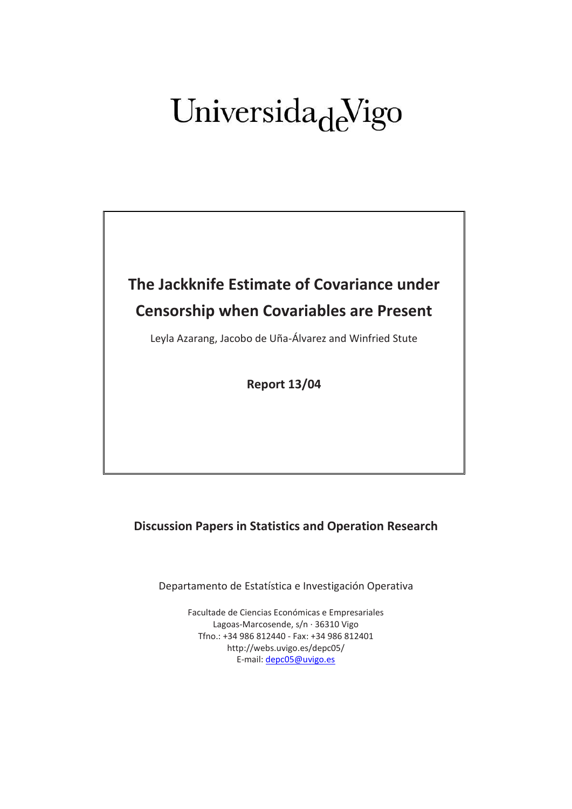# Universida<sub>de</sub>Vigo

# **The Jackknife Estimate of Covariance under Censorship when Covariables are Present**

Leyla Azarang, Jacobo de Uña-Álvarez and Winfried Stute

**Report 13/04**

## **Discussion Papers in Statistics and Operation Research**

Departamento de Estatística e Investigación Operativa

Facultade de Ciencias Económicas e Empresariales Lagoas-Marcosende, s/n · 36310 Vigo Tfno.: +34 986 812440 - Fax: +34 986 812401 http://webs.uvigo.es/depc05/ E-mail[: depc05@uvigo.es](mailto:depc05@uvigo.es)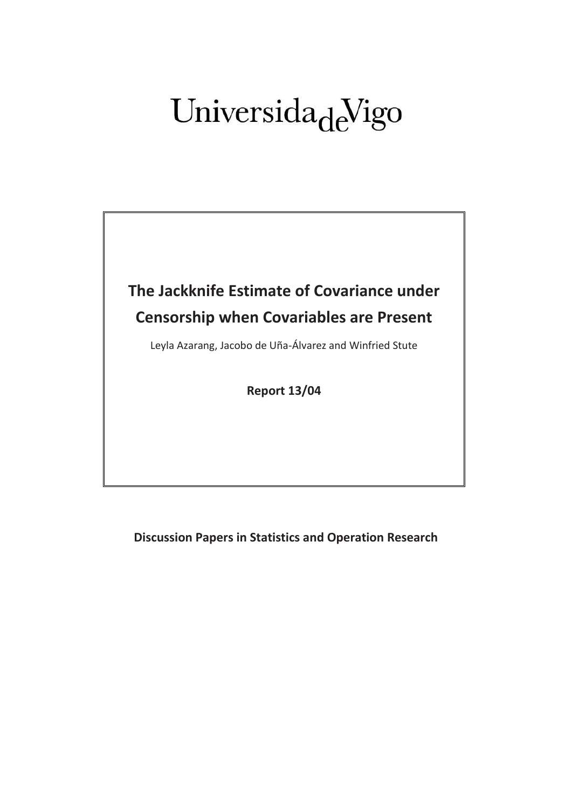# Universida<sub>de</sub>Vigo



**Discussion Papers in Statistics and Operation Research**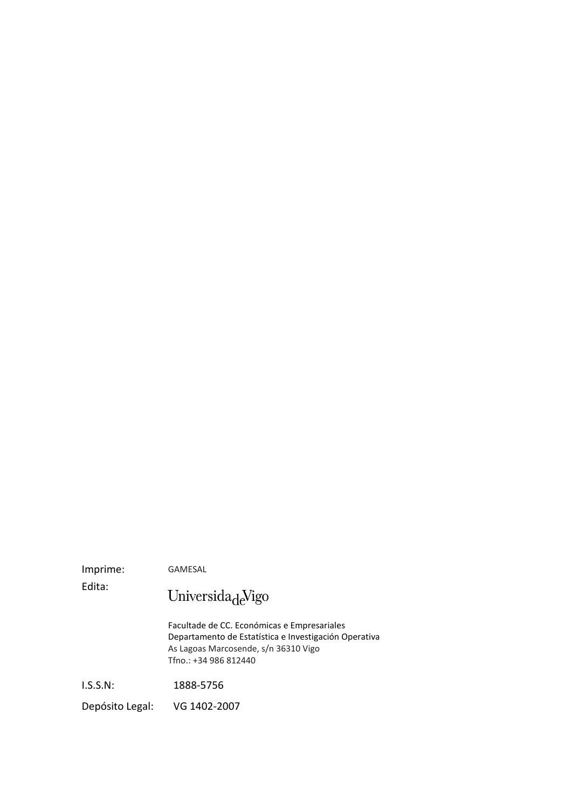Imprime: GAMESAL

Edita:

Universida $\det$ 

Facultade de CC. Económicas e Empresariales Departamento de Estatística e Investigación Operativa As Lagoas Marcosende, s/n 36310 Vigo Tfno.: +34 986 812440

I.S.S.N: 1888-5756

Depósito Legal: VG 1402-2007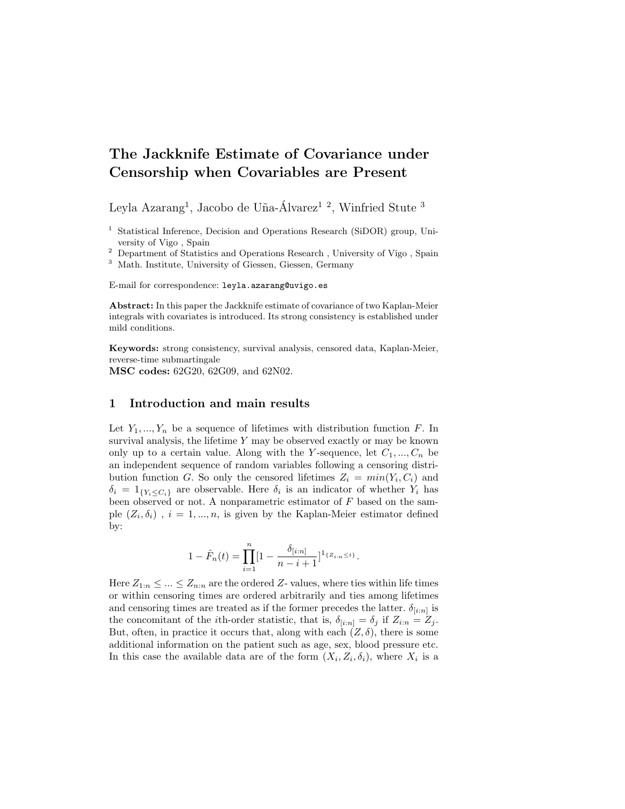### The Jackknife Estimate of Covariance under Censorship when Covariables are Present

Leyla Azarang<sup>1</sup>, Jacobo de Uña-Álvarez<sup>12</sup>, Winfried Stute<sup>3</sup>

<sup>2</sup> Department of Statistics and Operations Research , University of Vigo , Spain

<sup>3</sup> Math. Institute, University of Giessen, Giessen, Germany

E-mail for correspondence: leyla.azarang@uvigo.es

Abstract: In this paper the Jackknife estimate of covariance of two Kaplan-Meier integrals with covariates is introduced. Its strong consistency is established under mild conditions.

Keywords: strong consistency, survival analysis, censored data, Kaplan-Meier, reverse-time submartingale

MSC codes: 62G20, 62G09, and 62N02.

#### 1 Introduction and main results

Let  $Y_1, ..., Y_n$  be a sequence of lifetimes with distribution function F. In survival analysis, the lifetime  $Y$  may be observed exactly or may be known only up to a certain value. Along with the Y-sequence, let  $C_1, ..., C_n$  be an independent sequence of random variables following a censoring distribution function G. So only the censored lifetimes  $Z_i = min(Y_i, C_i)$  and  $\delta_i = 1_{\{Y_i \leq C_i\}}$  are observable. Here  $\delta_i$  is an indicator of whether  $Y_i$  has been observed or not. A nonparametric estimator of  $F$  based on the sample  $(Z_i, \delta_i)$ ,  $i = 1, ..., n$ , is given by the Kaplan-Meier estimator defined by:

$$
1 - \hat{F}_n(t) = \prod_{i=1}^n [1 - \frac{\delta_{[i:n]}}{n-i+1}]^{1_{\{Z_{i:n} \le t\}}}.
$$

Here  $Z_{1:n} \leq \ldots \leq Z_{n:n}$  are the ordered Z- values, where ties within life times or within censoring times are ordered arbitrarily and ties among lifetimes and censoring times are treated as if the former precedes the latter.  $\delta_{[i:n]}$  is the concomitant of the *i*th-order statistic, that is,  $\delta_{[i:n]} = \delta_j$  if  $Z_{i:n} = Z_j$ . But, often, in practice it occurs that, along with each  $(Z, \delta)$ , there is some additional information on the patient such as age, sex, blood pressure etc. In this case the available data are of the form  $(X_i, Z_i, \delta_i)$ , where  $X_i$  is a

<sup>&</sup>lt;sup>1</sup> Statistical Inference, Decision and Operations Research (SiDOR) group, University of Vigo , Spain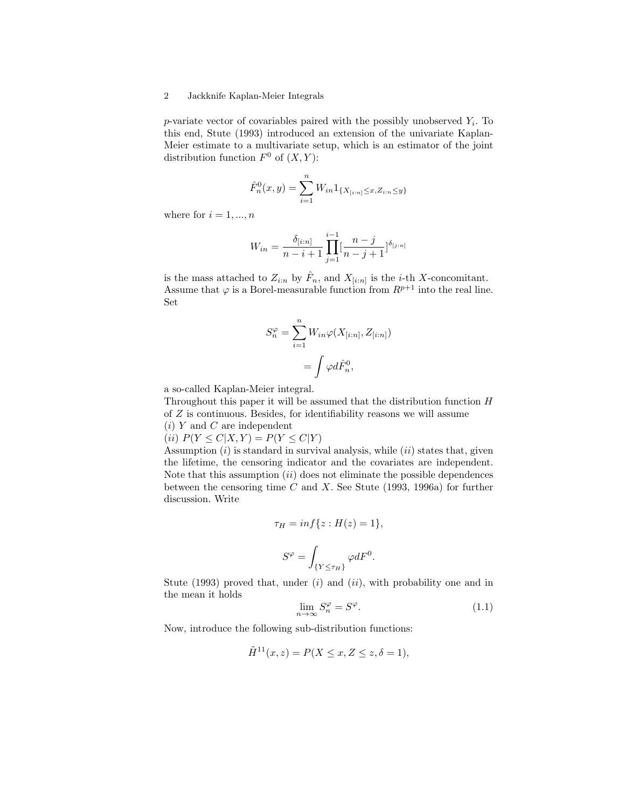p-variate vector of covariables paired with the possibly unobserved  $Y_i$ . To this end, Stute (1993) introduced an extension of the univariate Kaplan-Meier estimate to a multivariate setup, which is an estimator of the joint distribution function  $F^0$  of  $(X, Y)$ :

$$
\hat{F}_n^0(x,y) = \sum_{i=1}^n W_{in} 1_{\{X_{[i:n]} \le x, Z_{i:n} \le y\}}
$$

where for  $i = 1, ..., n$ 

$$
W_{in} = \frac{\delta_{[i:n]}}{n-i+1} \prod_{j=1}^{i-1} \left[\frac{n-j}{n-j+1}\right]^{\delta_{[j:n]}}
$$

is the mass attached to  $Z_{i:n}$  by  $\hat{F}_n$ , and  $X_{[i:n]}$  is the *i*-th X-concomitant. Assume that  $\varphi$  is a Borel-measurable function from  $R^{p+1}$  into the real line. Set

$$
S_n^{\varphi} = \sum_{i=1}^n W_{in} \varphi(X_{[i:n]}, Z_{[i:n]})
$$

$$
= \int \varphi d\hat{F}_n^0,
$$

a so-called Kaplan-Meier integral.

Throughout this paper it will be assumed that the distribution function H of Z is continuous. Besides, for identifiability reasons we will assume  $(i)$  Y and C are independent

(*ii*)  $P(Y \le C | X, Y) = P(Y \le C | Y)$ 

Assumption  $(i)$  is standard in survival analysis, while  $(ii)$  states that, given the lifetime, the censoring indicator and the covariates are independent. Note that this assumption  $(ii)$  does not eliminate the possible dependences between the censoring time  $C$  and  $X$ . See Stute (1993, 1996a) for further discussion. Write

$$
\tau_H = \inf\{z : H(z) = 1\},\
$$

$$
S^{\varphi} = \int_{\{Y \le \tau_H\}} \varphi dF^0.
$$

Stute (1993) proved that, under  $(i)$  and  $(ii)$ , with probability one and in the mean it holds

$$
\lim_{n \to \infty} S_n^{\varphi} = S^{\varphi}.
$$
\n(1.1)

Now, introduce the following sub-distribution functions:

$$
\tilde{H}^{11}(x,z) = P(X \le x, Z \le z, \delta = 1),
$$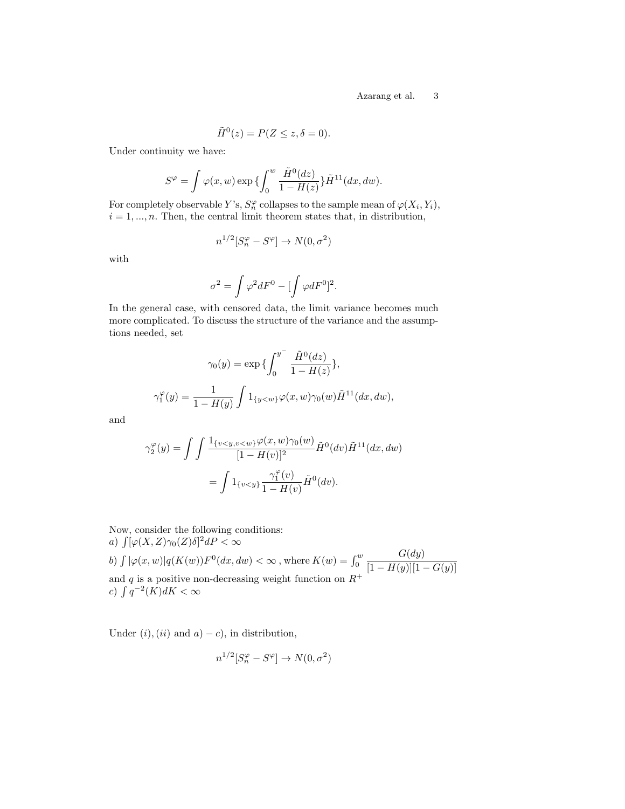$$
\tilde{H}^0(z) = P(Z \le z, \delta = 0).
$$

Under continuity we have:

$$
S^{\varphi} = \int \varphi(x, w) \exp \{ \int_0^w \frac{\tilde{H}^0(dz)}{1 - H(z)} \} \tilde{H}^{11}(dx, dw).
$$

For completely observable Y's,  $S_n^{\varphi}$  collapses to the sample mean of  $\varphi(X_i, Y_i)$ ,  $i = 1, \ldots, n$ . Then, the central limit theorem states that, in distribution,

$$
n^{1/2}[S_n^{\varphi} - S^{\varphi}] \to N(0, \sigma^2)
$$

with

$$
\sigma^2=\int\varphi^2dF^0-[\int\varphi dF^0]^2.
$$

In the general case, with censored data, the limit variance becomes much more complicated. To discuss the structure of the variance and the assumptions needed, set

$$
\gamma_0(y) = \exp\left\{\int_0^{y^-} \frac{\tilde{H}^0(dz)}{1 - H(z)}\right\},\,
$$
  

$$
\gamma_1^{\varphi}(y) = \frac{1}{1 - H(y)} \int 1_{\{y < w\}} \varphi(x, w) \gamma_0(w) \tilde{H}^{11}(dx, dw),
$$

and

$$
\gamma_2^{\varphi}(y) = \int \int \frac{\mathbb{1}_{\{v < y, v < w\}} \varphi(x, w) \gamma_0(w)}{[1 - H(v)]^2} \tilde{H}^0(dv) \tilde{H}^{11}(dx, dw)
$$
\n
$$
= \int \mathbb{1}_{\{v < y\}} \frac{\gamma_1^{\varphi}(v)}{1 - H(v)} \tilde{H}^0(dv).
$$

Now, consider the following conditions: a)  $\int [\varphi(X,Z)\gamma_0(Z)\delta]^2dP < \infty$ 

b) 
$$
\int |\varphi(x, w)| q(K(w)) F^0(dx, dw) < \infty
$$
, where  $K(w) = \int_0^w \frac{G(dy)}{[1 - H(y)][1 - G(y)]}$  and  $q$  is a positive non-decreasing weight function on  $R^+$   $c)$   $\int q^{-2}(K) dK < \infty$ 

Under  $(i)$ ,  $(ii)$  and  $a) - c$ , in distribution,

$$
n^{1/2}[S_n^{\varphi} - S^{\varphi}] \to N(0, \sigma^2)
$$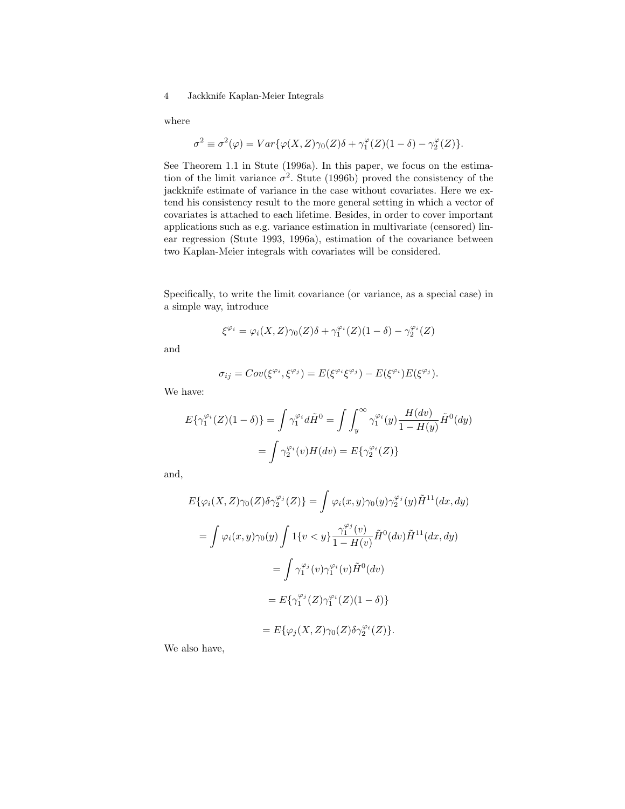where

$$
\sigma^2 \equiv \sigma^2(\varphi) = Var\{\varphi(X,Z)\gamma_0(Z)\delta + \gamma_1^{\varphi}(Z)(1-\delta) - \gamma_2^{\varphi}(Z)\}.
$$

See Theorem 1.1 in Stute (1996a). In this paper, we focus on the estimation of the limit variance  $\sigma^2$ . Stute (1996b) proved the consistency of the jackknife estimate of variance in the case without covariates. Here we extend his consistency result to the more general setting in which a vector of covariates is attached to each lifetime. Besides, in order to cover important applications such as e.g. variance estimation in multivariate (censored) linear regression (Stute 1993, 1996a), estimation of the covariance between two Kaplan-Meier integrals with covariates will be considered.

Specifically, to write the limit covariance (or variance, as a special case) in a simple way, introduce

$$
\xi^{\varphi_i} = \varphi_i(X, Z)\gamma_0(Z)\delta + \gamma_1^{\varphi_i}(Z)(1 - \delta) - \gamma_2^{\varphi_i}(Z)
$$

and

$$
\sigma_{ij} = Cov(\xi^{\varphi_i}, \xi^{\varphi_j}) = E(\xi^{\varphi_i}\xi^{\varphi_j}) - E(\xi^{\varphi_i})E(\xi^{\varphi_j}).
$$

We have:

$$
E\{\gamma_1^{\varphi_i}(Z)(1-\delta)\} = \int \gamma_1^{\varphi_i} d\tilde{H}^0 = \int \int_y^{\infty} \gamma_1^{\varphi_i}(y) \frac{H(dv)}{1-H(y)} \tilde{H}^0(dy)
$$

$$
= \int \gamma_2^{\varphi_i}(v) H(dv) = E\{\gamma_2^{\varphi_i}(Z)\}
$$

and,

$$
E\{\varphi_i(X, Z)\gamma_0(Z)\delta\gamma_2^{\varphi_j}(Z)\} = \int \varphi_i(x, y)\gamma_0(y)\gamma_2^{\varphi_j}(y)\tilde{H}^{11}(dx, dy)
$$
  

$$
= \int \varphi_i(x, y)\gamma_0(y) \int 1\{v < y\} \frac{\gamma_1^{\varphi_j}(v)}{1 - H(v)} \tilde{H}^0(dv)\tilde{H}^{11}(dx, dy)
$$
  

$$
= \int \gamma_1^{\varphi_j}(v)\gamma_1^{\varphi_i}(v)\tilde{H}^0(dv)
$$
  

$$
= E\{\gamma_1^{\varphi_j}(Z)\gamma_1^{\varphi_i}(Z)(1 - \delta)\}
$$
  

$$
= E\{\varphi_j(X, Z)\gamma_0(Z)\delta\gamma_2^{\varphi_i}(Z)\}.
$$

We also have,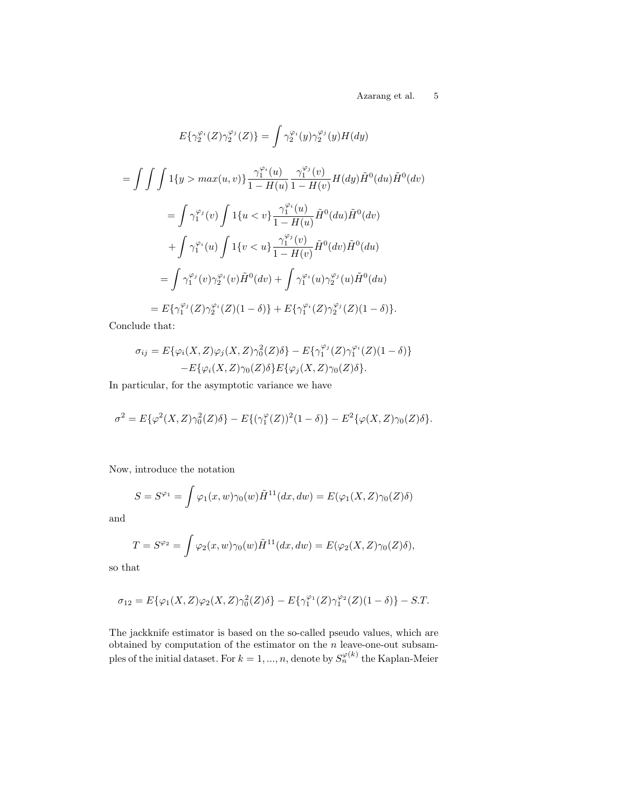$\begin{tabular}{ll} \bf Azarang {\it et} al. & \tt 5 \end{tabular}$ 

$$
E\{\gamma_2^{\varphi_i}(Z)\gamma_2^{\varphi_j}(Z)\} = \int \gamma_2^{\varphi_i}(y)\gamma_2^{\varphi_j}(y)H(dy)
$$
  
\n
$$
= \int \int \int 1\{y > max(u, v)\} \frac{\gamma_1^{\varphi_i}(u)}{1 - H(u)} \frac{\gamma_1^{\varphi_j}(v)}{1 - H(v)} H(dy) \tilde{H}^0(du) \tilde{H}^0(dv)
$$
  
\n
$$
= \int \gamma_1^{\varphi_j}(v) \int 1\{u < v\} \frac{\gamma_1^{\varphi_i}(u)}{1 - H(u)} \tilde{H}^0(du) \tilde{H}^0(dv)
$$
  
\n
$$
+ \int \gamma_1^{\varphi_i}(u) \int 1\{v < u\} \frac{\gamma_1^{\varphi_j}(v)}{1 - H(v)} \tilde{H}^0(dv) \tilde{H}^0(du)
$$
  
\n
$$
= \int \gamma_1^{\varphi_j}(v) \gamma_2^{\varphi_i}(v) \tilde{H}^0(dv) + \int \gamma_1^{\varphi_i}(u) \gamma_2^{\varphi_j}(u) \tilde{H}^0(du)
$$
  
\n
$$
= E\{\gamma_1^{\varphi_j}(Z)\gamma_2^{\varphi_i}(Z)(1 - \delta)\} + E\{\gamma_1^{\varphi_i}(Z)\gamma_2^{\varphi_j}(Z)(1 - \delta)\}.
$$

Conclude that:

$$
\sigma_{ij} = E\{\varphi_i(X, Z)\varphi_j(X, Z)\gamma_0^2(Z)\delta\} - E\{\gamma_1^{\varphi_j}(Z)\gamma_1^{\varphi_i}(Z)(1-\delta)\} - E\{\varphi_i(X, Z)\gamma_0(Z)\delta\}E\{\varphi_j(X, Z)\gamma_0(Z)\delta\}.
$$

In particular, for the asymptotic variance we have

$$
\sigma^{2} = E\{\varphi^{2}(X,Z)\gamma_{0}^{2}(Z)\delta\} - E\{(\gamma_{1}^{\varphi}(Z))^{2}(1-\delta)\} - E^{2}\{\varphi(X,Z)\gamma_{0}(Z)\delta\}.
$$

Now, introduce the notation

$$
S = S^{\varphi_1} = \int \varphi_1(x, w) \gamma_0(w) \tilde{H}^{11}(dx, dw) = E(\varphi_1(X, Z) \gamma_0(Z) \delta)
$$

and

$$
T = S^{\varphi_2} = \int \varphi_2(x, w) \gamma_0(w) \tilde{H}^{11}(dx, dw) = E(\varphi_2(X, Z) \gamma_0(Z) \delta),
$$

so that

$$
\sigma_{12} = E\{\varphi_1(X,Z)\varphi_2(X,Z)\gamma_0^2(Z)\delta\} - E\{\gamma_1^{\varphi_1}(Z)\gamma_1^{\varphi_2}(Z)(1-\delta)\} - S.T.
$$

The jackknife estimator is based on the so-called pseudo values, which are obtained by computation of the estimator on the  $n$  leave-one-out subsamples of the initial dataset. For  $k = 1, ..., n$ , denote by  $S_n^{\varphi(k)}$  the Kaplan-Meier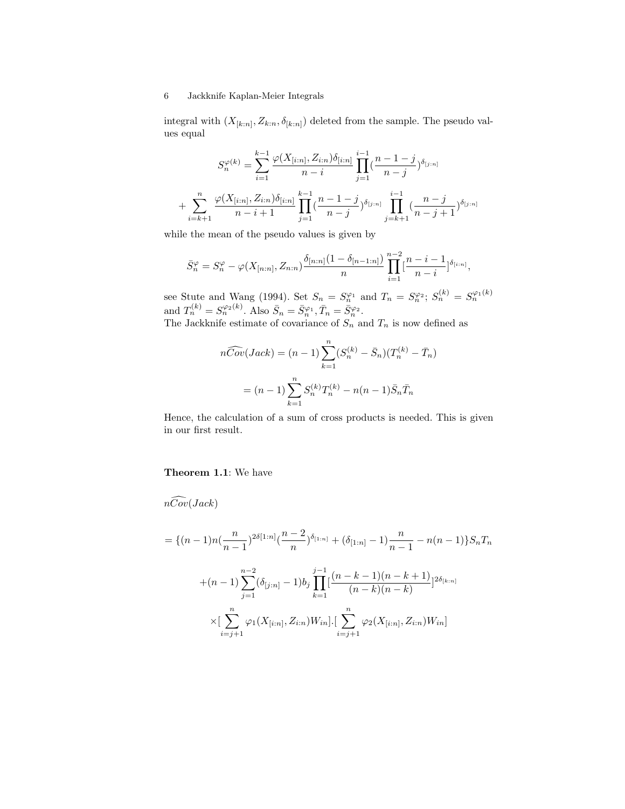integral with  $(X_{[k:n]}, Z_{k:n}, \delta_{[k:n]})$  deleted from the sample. The pseudo values equal

$$
S_n^{\varphi(k)} = \sum_{i=1}^{k-1} \frac{\varphi(X_{[i:n]}, Z_{i:n}) \delta_{[i:n]}}{n-i} \prod_{j=1}^{i-1} (\frac{n-1-j}{n-j})^{\delta_{[j:n]}}
$$

$$
+ \sum_{i=k+1}^n \frac{\varphi(X_{[i:n]}, Z_{i:n}) \delta_{[i:n]}}{n-i+1} \prod_{j=1}^{k-1} (\frac{n-1-j}{n-j})^{\delta_{[j:n]}} \prod_{j=k+1}^{i-1} (\frac{n-j}{n-j+1})^{\delta_{[j:n]}}
$$

while the mean of the pseudo values is given by

$$
\bar{S}_{n}^{\varphi} = S_{n}^{\varphi} - \varphi(X_{[n:n]}, Z_{n:n}) \frac{\delta_{[n:n]}(1 - \delta_{[n-1:n]})}{n} \prod_{i=1}^{n-2} \left[\frac{n-i-1}{n-i}\right]^{\delta_{[i:n]}},
$$

see Stute and Wang (1994). Set  $S_n = S_n^{\varphi_1}$  and  $T_n = S_n^{\varphi_2}$ ;  $S_n^{(k)} = S_n^{\varphi_1(k)}$ and  $T_n^{(k)} = S_n^{\varphi_2(k)}$ . Also  $\bar{S}_n = \bar{S}_n^{\varphi_1}, \bar{T}_n = \bar{S}_n^{\varphi_2}$ .

The Jackknife estimate of covariance of  $S_n$  and  $T_n$  is now defined as

$$
n\widehat{Cov}(Jack) = (n-1)\sum_{k=1}^{n} (S_n^{(k)} - \bar{S}_n)(T_n^{(k)} - \bar{T}_n)
$$

$$
= (n-1)\sum_{k=1}^{n} S_n^{(k)}T_n^{(k)} - n(n-1)\bar{S}_n\bar{T}_n
$$

Hence, the calculation of a sum of cross products is needed. This is given in our first result.

#### Theorem 1.1: We have

 $n\widehat{Cov}(Jack)$ 

$$
= \{(n-1)n(\frac{n}{n-1})^{2\delta[1:n]}(\frac{n-2}{n})^{\delta_{[1:n]}} + (\delta_{[1:n]} - 1)\frac{n}{n-1} - n(n-1)\}S_nT_n
$$
  
+
$$
(n-1)\sum_{j=1}^{n-2} (\delta_{[j:n]} - 1)b_j \prod_{k=1}^{j-1} \frac{(n-k-1)(n-k+1)}{(n-k)(n-k)} 2^{\delta_{[k:n]}}
$$
  

$$
\times \left[\sum_{i=j+1}^n \varphi_1(X_{[i:n]}, Z_{i:n})W_{in}\right] \cdot \left[\sum_{i=j+1}^n \varphi_2(X_{[i:n]}, Z_{i:n})W_{in}\right]
$$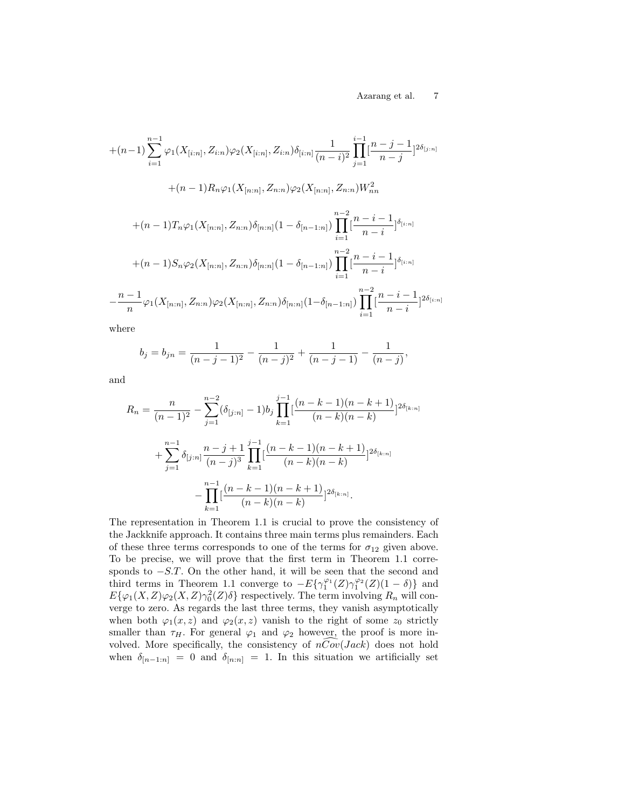$$
+(n-1)\sum_{i=1}^{n-1}\varphi_{1}(X_{[i:n]},Z_{i:n})\varphi_{2}(X_{[i:n]},Z_{i:n})\delta_{[i:n]} \frac{1}{(n-i)^{2}}\prod_{j=1}^{i-1}[\frac{n-j-1}{n-j}]^{2\delta_{[j:n]}}
$$
  
+
$$
(n-1)R_{n}\varphi_{1}(X_{[n:n]},Z_{n:n})\varphi_{2}(X_{[n:n]},Z_{n:n})W_{nn}^{2}
$$
  
+
$$
(n-1)T_{n}\varphi_{1}(X_{[n:n]},Z_{n:n})\delta_{[n:n]}(1-\delta_{[n-1:n]})\prod_{i=1}^{n-2}[\frac{n-i-1}{n-i}]^{\delta_{[i:n]}}
$$
  
+
$$
(n-1)S_{n}\varphi_{2}(X_{[n:n]},Z_{n:n})\delta_{[n:n]}(1-\delta_{[n-1:n]})\prod_{i=1}^{n-2}[\frac{n-i-1}{n-i}]^{\delta_{[i:n]}}
$$
  
-
$$
\frac{n-1}{n}\varphi_{1}(X_{[n:n]},Z_{n:n})\varphi_{2}(X_{[n:n]},Z_{n:n})\delta_{[n:n]}(1-\delta_{[n-1:n]})\prod_{i=1}^{n-2}[\frac{n-i-1}{n-i}]^{2\delta_{[i:n]}}
$$

where

$$
b_j = b_{jn} = \frac{1}{(n-j-1)^2} - \frac{1}{(n-j)^2} + \frac{1}{(n-j-1)} - \frac{1}{(n-j)},
$$

and

$$
R_n = \frac{n}{(n-1)^2} - \sum_{j=1}^{n-2} (\delta_{[j:n]} - 1) b_j \prod_{k=1}^{j-1} \left[ \frac{(n-k-1)(n-k+1)}{(n-k)(n-k)} \right]^{2\delta_{[k:n]}} + \sum_{j=1}^{n-1} \delta_{[j:n]} \frac{n-j+1}{(n-j)^3} \prod_{k=1}^{j-1} \left[ \frac{(n-k-1)(n-k+1)}{(n-k)(n-k)} \right]^{2\delta_{[k:n]}} - \prod_{k=1}^{n-1} \left[ \frac{(n-k-1)(n-k+1)}{(n-k)(n-k)} \right]^{2\delta_{[k:n]}}.
$$

The representation in Theorem 1.1 is crucial to prove the consistency of the Jackknife approach. It contains three main terms plus remainders. Each of these three terms corresponds to one of the terms for  $\sigma_{12}$  given above. To be precise, we will prove that the first term in Theorem 1.1 corresponds to  $-S.T.$  On the other hand, it will be seen that the second and third terms in Theorem 1.1 converge to  $-E\{\gamma_1^{\varphi_1}(Z)\gamma_1^{\varphi_2}(Z)(1-\delta)\}\$ and  $E{\varphi_1(X,Z)\varphi_2(X,Z)\gamma_0^2(Z)\delta}$  respectively. The term involving  $R_n$  will converge to zero. As regards the last three terms, they vanish asymptotically when both  $\varphi_1(x, z)$  and  $\varphi_2(x, z)$  vanish to the right of some  $z_0$  strictly smaller than  $\tau_H$ . For general  $\varphi_1$  and  $\varphi_2$  however, the proof is more involved. More specifically, the consistency of  $nCov(Jack)$  does not hold when  $\delta_{[n-1:n]} = 0$  and  $\delta_{[n:n]} = 1$ . In this situation we artificially set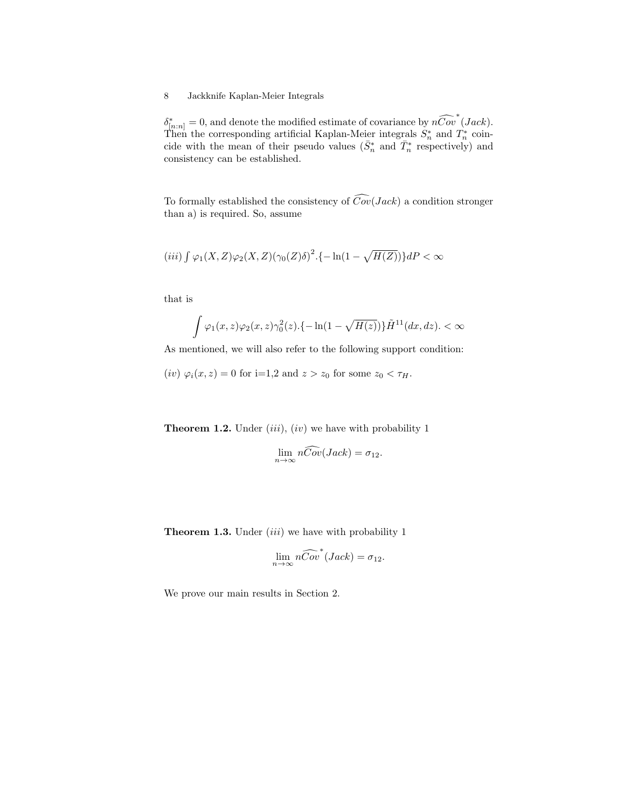$\delta_{[n:n]}^* = 0$ , and denote the modified estimate of covariance by  $n\widehat{Cov}^*(Jack)$ . Then the corresponding artificial Kaplan-Meier integrals  $S_n^*$  and  $T_n^*$  coincide with the mean of their pseudo values  $(\bar{S}_n^*$  and  $\bar{T}_n^*$  respectively) and consistency can be established.

To formally established the consistency of  $\widehat{Cov}(Jack)$  a condition stronger than a) is required. So, assume

$$
(iii) \int \varphi_1(X, Z)\varphi_2(X, Z)(\gamma_0(Z)\delta)^2 \cdot \{-\ln(1-\sqrt{H(Z)})\} dP < \infty
$$

that is

$$
\int \varphi_1(x,z)\varphi_2(x,z)\gamma_0^2(z).\{-\ln(1-\sqrt{H(z)})\}\tilde{H}^{11}(dx,dz).\langle\infty\rangle
$$

As mentioned, we will also refer to the following support condition:

(iv)  $\varphi_i(x, z) = 0$  for i=1,2 and  $z > z_0$  for some  $z_0 < \tau_H$ .

**Theorem 1.2.** Under  $(iii)$ ,  $(iv)$  we have with probability 1

$$
\lim_{n \to \infty} n\widehat{Cov}(Jack) = \sigma_{12}.
$$

**Theorem 1.3.** Under  $(iii)$  we have with probability 1

$$
\lim_{n \to \infty} n\widehat{Cov}^*(Jack) = \sigma_{12}.
$$

We prove our main results in Section 2.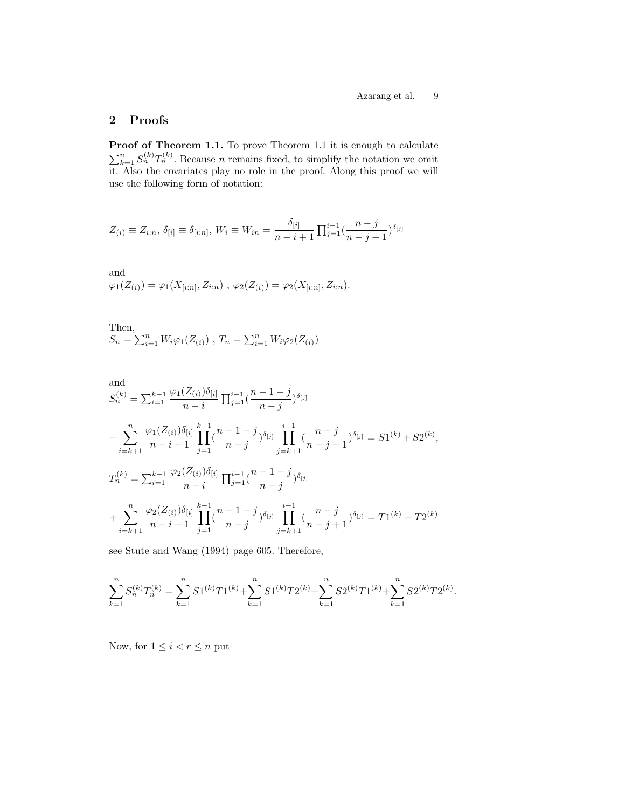### 2 Proofs

**Proof of Theorem 1.1.** To prove Theorem 1.1 it is enough to calculate  $\sum_{k=1}^{n} S_n^{(k)} T_n^{(k)}$ . Because *n* remains fixed, to simplify the notation we omit it. Also the covariates play no role in the proof. Along this proof we will use the following form of notation:

$$
Z_{(i)} \equiv Z_{i:n}, \, \delta_{[i]} \equiv \delta_{[i:n]}, \, W_i \equiv W_{in} = \frac{\delta_{[i]}}{n-i+1} \prod_{j=1}^{i-1} \left(\frac{n-j}{n-j+1}\right)^{\delta_{[j]}}
$$

and  
\n
$$
\varphi_1(Z_{(i)}) = \varphi_1(X_{[i:n]}, Z_{i:n}) , \varphi_2(Z_{(i)}) = \varphi_2(X_{[i:n]}, Z_{i:n}).
$$

Then,  $S_n = \sum_{i=1}^n W_i \varphi_1(Z_{(i)})$ ,  $T_n = \sum_{i=1}^n W_i \varphi_2(Z_{(i)})$ 

and  
\n
$$
S_n^{(k)} = \sum_{i=1}^{k-1} \frac{\varphi_1(Z_{(i)})\delta_{[i]}}{n-i} \prod_{j=1}^{i-1} \frac{(n-1-j)}{n-j} \delta_{[j]}
$$
\n
$$
+ \sum_{i=k+1}^n \frac{\varphi_1(Z_{(i)})\delta_{[i]}}{n-i+1} \prod_{j=1}^{k-1} \frac{(n-1-j)}{n-j} \delta_{[j]} \prod_{j=k+1}^{i-1} \frac{(n-j)}{n-j+1} \delta_{[j]} = S1^{(k)} + S2^{(k)},
$$
\n
$$
T_n^{(k)} = \sum_{i=1}^{k-1} \frac{\varphi_2(Z_{(i)})\delta_{[i]}}{n-i} \prod_{j=1}^{i-1} \frac{(n-1-j)}{n-j} \delta_{[j]}
$$
\n
$$
+ \sum_{i=k+1}^n \frac{\varphi_2(Z_{(i)})\delta_{[i]}}{n-i+1} \prod_{j=1}^{k-1} \frac{(n-1-j)}{n-j} \delta_{[j]} \prod_{j=k+1}^{i-1} \frac{(n-j)}{n-j+1} \delta_{[j]} = T1^{(k)} + T2^{(k)}
$$

see Stute and Wang (1994) page 605. Therefore,

$$
\sum_{k=1}^n S_n^{(k)} T_n^{(k)} = \sum_{k=1}^n S1^{(k)} T 1^{(k)} + \sum_{k=1}^n S1^{(k)} T 2^{(k)} + \sum_{k=1}^n S2^{(k)} T 1^{(k)} + \sum_{k=1}^n S2^{(k)} T 2^{(k)}.
$$

Now, for  $1 \leq i < r \leq n$  put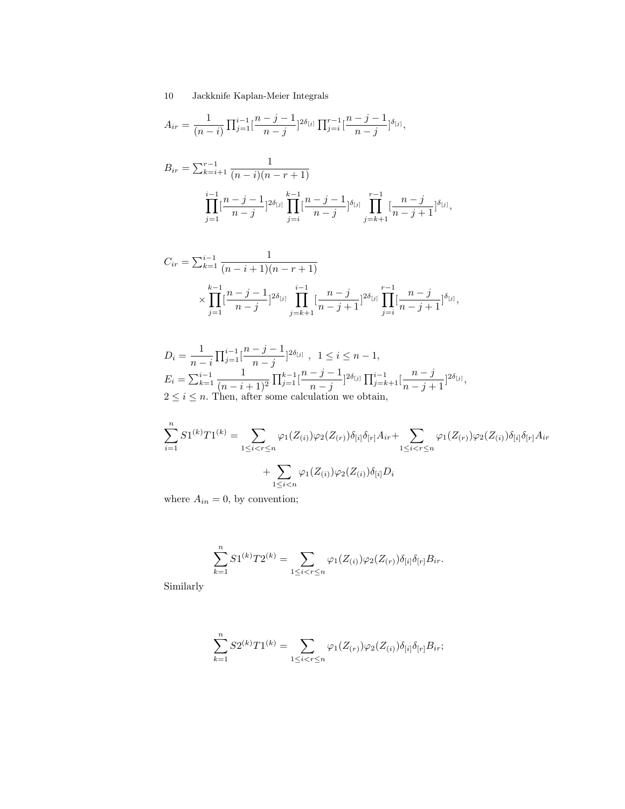$$
A_{ir} = \frac{1}{(n-i)} \prod_{j=1}^{i-1} \left[ \frac{n-j-1}{n-j} \right]^{2\delta_{[j]}} \prod_{j=i}^{r-1} \left[ \frac{n-j-1}{n-j} \right]^{ \delta_{[j]}},
$$

$$
B_{ir} = \sum_{k=i+1}^{r-1} \frac{1}{(n-i)(n-r+1)}
$$

$$
\prod_{j=1}^{i-1} \left[\frac{n-j-1}{n-j}\right]^{2\delta_{[j]}} \prod_{j=i}^{k-1} \left[\frac{n-j-1}{n-j}\right]^{2\delta_{[j]}} \prod_{j=k+1}^{r-1} \left[\frac{n-j}{n-j+1}\right]^{2\delta_{[j]}},
$$

$$
C_{ir} = \sum_{k=1}^{i-1} \frac{1}{(n-i+1)(n-r+1)}
$$
  
 
$$
\times \prod_{j=1}^{k-1} \left[ \frac{n-j-1}{n-j} \right]^{2\delta_{[j]}} \prod_{j=k+1}^{i-1} \left[ \frac{n-j}{n-j+1} \right]^{2\delta_{[j]}} \prod_{j=i}^{r-1} \left[ \frac{n-j}{n-j+1} \right]^{\delta_{[j]}},
$$

$$
D_i = \frac{1}{n-i} \prod_{j=1}^{i-1} \left[ \frac{n-j-1}{n-j} \right]^{2\delta_{[j]}} , \quad 1 \le i \le n-1,
$$
  
\n
$$
E_i = \sum_{k=1}^{i-1} \frac{1}{(n-i+1)^2} \prod_{j=1}^{k-1} \left[ \frac{n-j-1}{n-j} \right]^{2\delta_{[j]}} \prod_{j=k+1}^{i-1} \left[ \frac{n-j}{n-j+1} \right]^{2\delta_{[j]}},
$$
  
\n
$$
2 \le i \le n.
$$
 Then, after some calculation we obtain,

$$
\sum_{i=1}^{n} S1^{(k)}T1^{(k)} = \sum_{1 \leq i < r \leq n} \varphi_1(Z_{(i)})\varphi_2(Z_{(r)})\delta_{[i]}\delta_{[r]}A_{ir} + \sum_{1 \leq i < r \leq n} \varphi_1(Z_{(r)})\varphi_2(Z_{(i)})\delta_{[i]}\delta_{[r]}A_{ir} + \sum_{1 \leq i < n} \varphi_1(Z_{(i)})\varphi_2(Z_{(i)})\delta_{[i]}D_i
$$

where  $A_{in} = 0$ , by convention;

$$
\sum_{k=1}^{n} S1^{(k)}T2^{(k)} = \sum_{1 \leq i < r \leq n} \varphi_1(Z_{(i)})\varphi_2(Z_{(r)})\delta_{[i]}\delta_{[r]}B_{ir}.
$$

Similarly

$$
\sum_{k=1}^{n} S2^{(k)}T1^{(k)} = \sum_{1 \leq i < r \leq n} \varphi_1(Z_{(r)})\varphi_2(Z_{(i)})\delta_{[i]}\delta_{[r]}B_{ir};
$$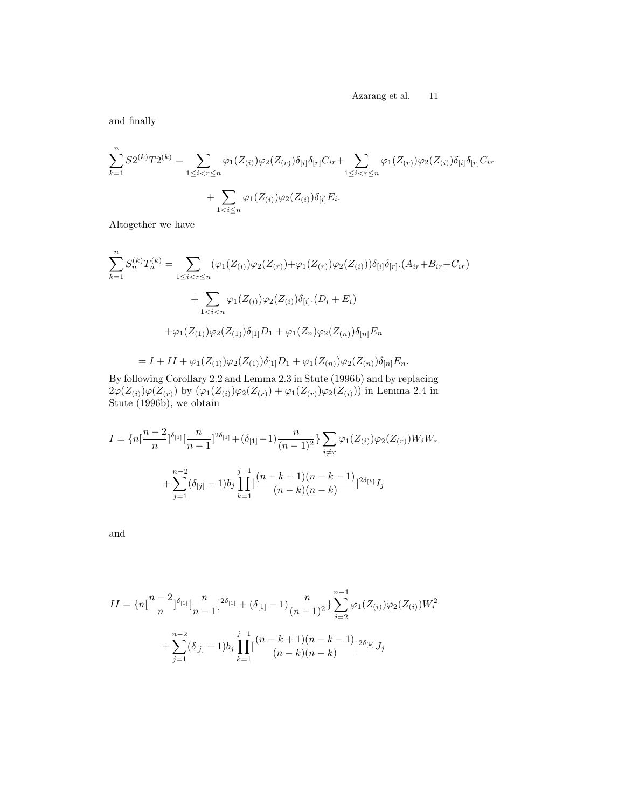and finally

$$
\sum_{k=1}^{n} S2^{(k)}T2^{(k)} = \sum_{1 \leq i < r \leq n} \varphi_1(Z_{(i)})\varphi_2(Z_{(r)})\delta_{[i]}\delta_{[r]}C_{ir} + \sum_{1 \leq i < r \leq n} \varphi_1(Z_{(r)})\varphi_2(Z_{(i)})\delta_{[i]}\delta_{[r]}C_{ir} + \sum_{1 < i \leq n} \varphi_1(Z_{(i)})\varphi_2(Z_{(i)})\delta_{[i]}E_i.
$$

Altogether we have

$$
\sum_{k=1}^{n} S_{n}^{(k)} T_{n}^{(k)} = \sum_{1 \leq i < r \leq n} (\varphi_{1}(Z_{(i)}) \varphi_{2}(Z_{(r)}) + \varphi_{1}(Z_{(r)}) \varphi_{2}(Z_{(i)})) \delta_{[i]} \delta_{[r]} \cdot (A_{ir} + B_{ir} + C_{ir})
$$
\n
$$
+ \sum_{1 < i < n} \varphi_{1}(Z_{(i)}) \varphi_{2}(Z_{(i)}) \delta_{[i]} \cdot (D_{i} + E_{i})
$$
\n
$$
+ \varphi_{1}(Z_{(1)}) \varphi_{2}(Z_{(1)}) \delta_{[1]} D_{1} + \varphi_{1}(Z_{n}) \varphi_{2}(Z_{(n)}) \delta_{[n]} E_{n}
$$
\n
$$
= I + II + \varphi_{1}(Z_{(1)}) \varphi_{2}(Z_{(1)}) \delta_{[1]} D_{1} + \varphi_{1}(Z_{(n)}) \varphi_{2}(Z_{(n)}) \delta_{[n]} E_{n}.
$$

By following Corollary 2.2 and Lemma 2.3 in Stute (1996b) and by replacing  $2\varphi(Z_{(i)})\varphi(Z_{(r)})$  by  $(\varphi_1(Z_{(i)})\varphi_2(Z_{(r)}) + \varphi_1(Z_{(r)})\varphi_2(Z_{(i)}))$  in Lemma 2.4 in Stute (1996b), we obtain

$$
I = \{n\left[\frac{n-2}{n}\right]^{\delta_{[1]}}\left[\frac{n}{n-1}\right]^{2\delta_{[1]}} + (\delta_{[1]} - 1)\frac{n}{(n-1)^2}\sum_{i \neq r} \varphi_1(Z_{(i)})\varphi_2(Z_{(r)})W_iW_r
$$

$$
+ \sum_{j=1}^{n-2} (\delta_{[j]} - 1)b_j \prod_{k=1}^{j-1} \left[\frac{(n-k+1)(n-k-1)}{(n-k)(n-k)}\right]^{2\delta_{[k]}} I_j
$$

and

$$
II = \{n\left[\frac{n-2}{n}\right]^{\delta_{[1]}}\left[\frac{n}{n-1}\right]^{2\delta_{[1]}} + (\delta_{[1]} - 1)\frac{n}{(n-1)^2}\right\}\sum_{i=2}^{n-1}\varphi_1(Z_{(i)})\varphi_2(Z_{(i)})W_i^2
$$

$$
+\sum_{j=1}^{n-2}(\delta_{[j]} - 1)b_j\prod_{k=1}^{j-1}\left[\frac{(n-k+1)(n-k-1)}{(n-k)(n-k)}\right]^{2\delta_{[k]}}J_j
$$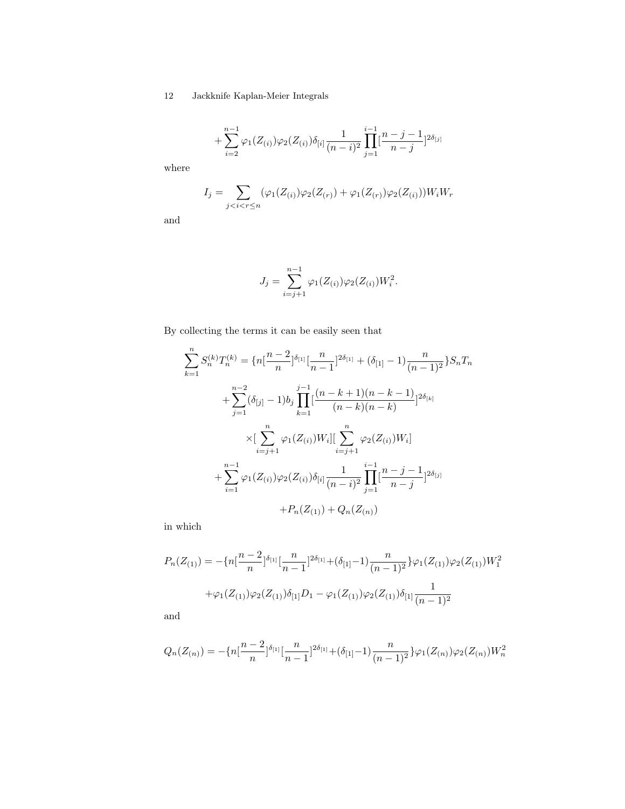$$
+\sum_{i=2}^{n-1}\varphi_1(Z_{(i)})\varphi_2(Z_{(i)})\delta_{[i]}\frac{1}{(n-i)^2}\prod_{j=1}^{i-1}[\frac{n-j-1}{n-j}]^{2\delta_{[j]}}
$$

where

$$
I_j = \sum_{j < i < r \le n} (\varphi_1(Z_{(i)})\varphi_2(Z_{(r)}) + \varphi_1(Z_{(r)})\varphi_2(Z_{(i)}))W_iW_r
$$

and

$$
J_j = \sum_{i=j+1}^{n-1} \varphi_1(Z_{(i)}) \varphi_2(Z_{(i)}) W_i^2.
$$

By collecting the terms it can be easily seen that

$$
\sum_{k=1}^{n} S_n^{(k)} T_n^{(k)} = \{n\left[\frac{n-2}{n}\right]^{\delta_{[1]}} \left[\frac{n}{n-1}\right]^{2\delta_{[1]}} + (\delta_{[1]} - 1) \frac{n}{(n-1)^2} \} S_n T_n
$$
  
+ 
$$
\sum_{j=1}^{n-2} (\delta_{[j]} - 1) b_j \prod_{k=1}^{j-1} \frac{(n-k+1)(n-k-1)}{(n-k)(n-k)} \Big|^{2\delta_{[k]}}
$$
  

$$
\times \left[\sum_{i=j+1}^{n} \varphi_1(Z_{(i)}) W_i\right] \left[\sum_{i=j+1}^{n} \varphi_2(Z_{(i)}) W_i\right]
$$
  
+ 
$$
\sum_{i=1}^{n-1} \varphi_1(Z_{(i)}) \varphi_2(Z_{(i)}) \delta_{[i]} \frac{1}{(n-i)^2} \prod_{j=1}^{i-1} \frac{n-j-1}{n-j} \Big|^{2\delta_{[j]}}
$$
  
+ 
$$
P_n(Z_{(1)}) + Q_n(Z_{(n)})
$$

in which

$$
P_n(Z_{(1)}) = -\{n\left[\frac{n-2}{n}\right]^{\delta_{[1]}}\left[\frac{n}{n-1}\right]^{2\delta_{[1]}} + (\delta_{[1]}-1)\frac{n}{(n-1)^2}\}\varphi_1(Z_{(1)})\varphi_2(Z_{(1)})W_1^2 + \varphi_1(Z_{(1)})\varphi_2(Z_{(1)})\delta_{[1]}D_1 - \varphi_1(Z_{(1)})\varphi_2(Z_{(1)})\delta_{[1]}\frac{1}{(n-1)^2}
$$

and

$$
Q_n(Z_{(n)}) = -\{n\left[\frac{n-2}{n}\right]^{\delta_{[1]}}\left[\frac{n}{n-1}\right]^{2\delta_{[1]}} + (\delta_{[1]}-1)\frac{n}{(n-1)^2}\}\varphi_1(Z_{(n)})\varphi_2(Z_{(n)})W_n^2
$$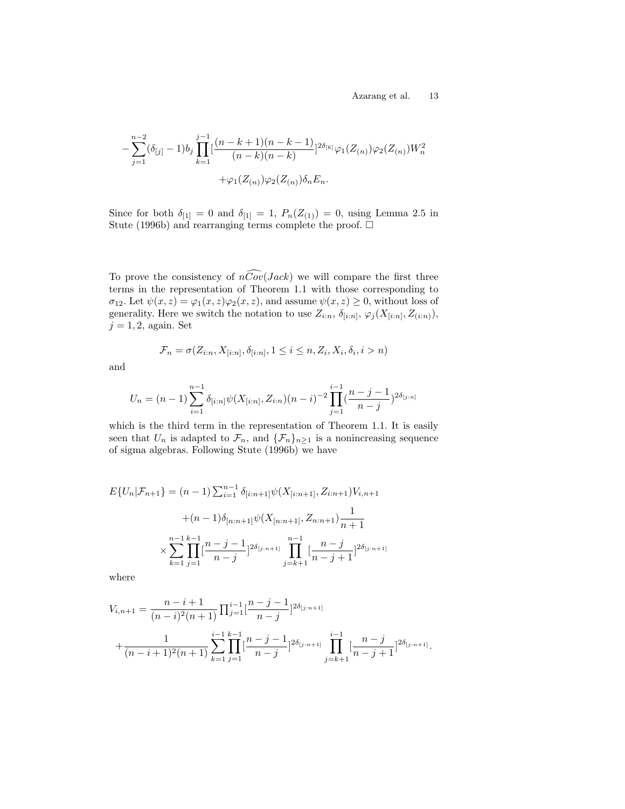$$
-\sum_{j=1}^{n-2}(\delta_{[j]}-1)b_j\prod_{k=1}^{j-1}[\frac{(n-k+1)(n-k-1)}{(n-k)(n-k)}]^{2\delta_{[k]}}\varphi_1(Z_{(n)})\varphi_2(Z_{(n)})W_n^2 +\varphi_1(Z_{(n)})\varphi_2(Z_{(n)})\delta_nE_n.
$$

Since for both  $\delta_{[1]} = 0$  and  $\delta_{[1]} = 1$ ,  $P_n(Z_{(1)}) = 0$ , using Lemma 2.5 in Stute (1996b) and rearranging terms complete the proof.  $\square$ 

To prove the consistency of  $n\widehat{Cov}(Jack)$  we will compare the first three terms in the representation of Theorem 1.1 with those corresponding to  $\sigma_{12}$ . Let  $\psi(x, z) = \varphi_1(x, z)\varphi_2(x, z)$ , and assume  $\psi(x, z) \geq 0$ , without loss of generality. Here we switch the notation to use  $Z_{i:n}$ ,  $\delta_{[i:n]}, \varphi_j(X_{[i:n]}, Z_{(i:n)}),$  $j = 1, 2$ , again. Set

$$
\mathcal{F}_n = \sigma(Z_{i:n}, X_{[i:n]}, \delta_{[i:n]}, 1 \le i \le n, Z_i, X_i, \delta_i, i > n)
$$

and

$$
U_n = (n-1) \sum_{i=1}^{n-1} \delta_{[i:n]} \psi(X_{[i:n]}, Z_{i:n}) (n-i)^{-2} \prod_{j=1}^{i-1} (\frac{n-j-1}{n-j})^{2\delta_{[j:n]}}
$$

which is the third term in the representation of Theorem 1.1. It is easily seen that  $U_n$  is adapted to  $\mathcal{F}_n$ , and  $\{\mathcal{F}_n\}_{n\geq 1}$  is a nonincreasing sequence of sigma algebras. Following Stute (1996b) we have

$$
E\{U_n|\mathcal{F}_{n+1}\} = (n-1)\sum_{i=1}^{n-1} \delta_{[i:n+1]}\psi(X_{[i:n+1]}, Z_{i:n+1})V_{i,n+1}
$$

$$
+(n-1)\delta_{[n:n+1]}\psi(X_{[n:n+1]}, Z_{n:n+1})\frac{1}{n+1}
$$

$$
\times \sum_{k=1}^{n-1} \prod_{j=1}^{k-1} [\frac{n-j-1}{n-j}]^{2\delta_{[j:n+1]}} \prod_{j=k+1}^{n-1} [\frac{n-j}{n-j+1}]^{2\delta_{[j:n+1]}}
$$

where

$$
V_{i,n+1} = \frac{n-i+1}{(n-i)^2(n+1)} \prod_{j=1}^{i-1} \left[ \frac{n-j-1}{n-j} \right]^{2\delta_{[j:n+1]}} + \frac{1}{(n-i+1)^2(n+1)} \sum_{k=1}^{i-1} \prod_{j=1}^{k-1} \left[ \frac{n-j-1}{n-j} \right]^{2\delta_{[j:n+1]}} \prod_{j=k+1}^{i-1} \left[ \frac{n-j}{n-j+1} \right]^{2\delta_{[j:n+1]}}.
$$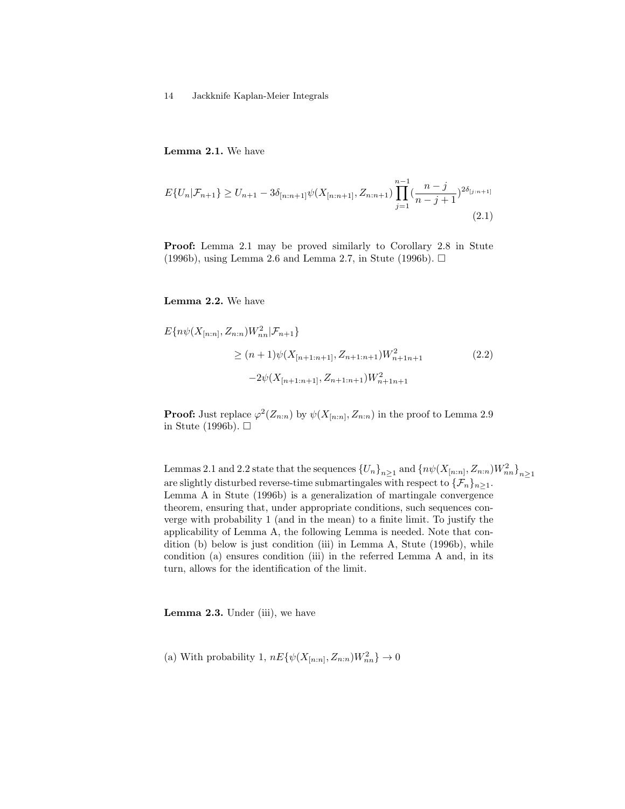Lemma 2.1. We have

$$
E\{U_n|\mathcal{F}_{n+1}\} \ge U_{n+1} - 3\delta_{[n:n+1]}\psi(X_{[n:n+1]}, Z_{n:n+1})\prod_{j=1}^{n-1}(\frac{n-j}{n-j+1})^{2\delta_{[j:n+1]}}\tag{2.1}
$$

Proof: Lemma 2.1 may be proved similarly to Corollary 2.8 in Stute (1996b), using Lemma 2.6 and Lemma 2.7, in Stute (1996b).  $\Box$ 

Lemma 2.2. We have

$$
E\{n\psi(X_{[n:n]}, Z_{n:n})W_{nn}^2 | \mathcal{F}_{n+1}\}
$$
  
\n
$$
\geq (n+1)\psi(X_{[n+1:n+1]}, Z_{n+1:n+1})W_{n+1:n+1}^2
$$
\n
$$
-2\psi(X_{[n+1:n+1]}, Z_{n+1:n+1})W_{n+1:n+1}^2
$$
\n(2.2)

**Proof:** Just replace  $\varphi^2(Z_{n:n})$  by  $\psi(X_{[n:n]}, Z_{n:n})$  in the proof to Lemma 2.9 in Stute (1996b).  $\square$ 

Lemmas 2.1 and 2.2 state that the sequences  $\{U_n\}_{n\geq 1}$  and  $\{n\psi(X_{[n:n]}, Z_{n:n})W_{nn}^2\}_{n\geq 1}$ are slightly disturbed reverse-time submartingales with respect to  $\{\mathcal{F}_n\}_{n>1}$ . Lemma A in Stute (1996b) is a generalization of martingale convergence theorem, ensuring that, under appropriate conditions, such sequences converge with probability 1 (and in the mean) to a finite limit. To justify the applicability of Lemma A, the following Lemma is needed. Note that condition (b) below is just condition (iii) in Lemma A, Stute (1996b), while condition (a) ensures condition (iii) in the referred Lemma A and, in its turn, allows for the identification of the limit.

Lemma 2.3. Under (iii), we have

(a) With probability 1,  $nE\{\psi(X_{[n:n]}, Z_{n:n})W_{nn}^2\} \to 0$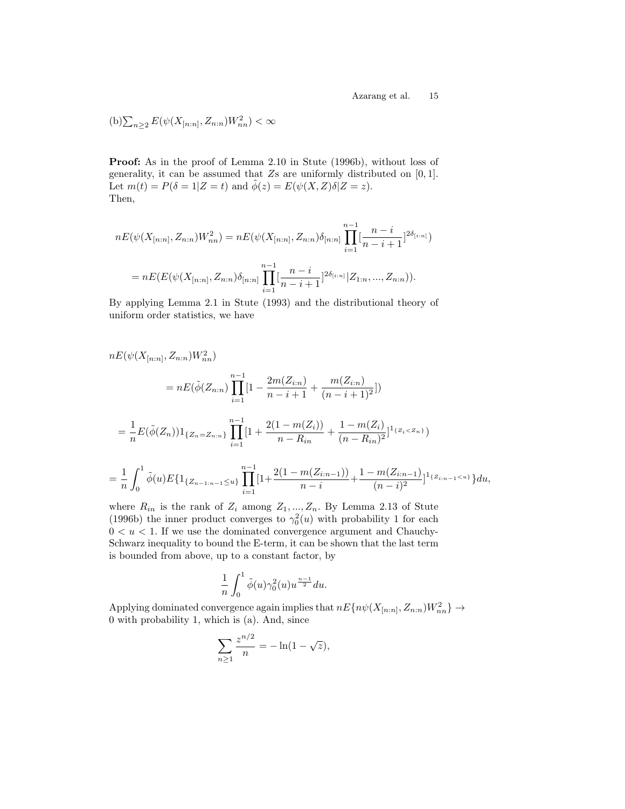(b)
$$
\sum_{n\geq 2} E(\psi(X_{[n:n]}, Z_{n:n})W_{nn}^2) < \infty
$$

Proof: As in the proof of Lemma 2.10 in Stute (1996b), without loss of generality, it can be assumed that  $Z_s$  are uniformly distributed on  $[0, 1]$ . Let  $m(t) = P(\delta = 1 | Z = t)$  and  $\tilde{\phi}(z) = E(\psi(X, Z)\delta | Z = z)$ . Then,

$$
nE(\psi(X_{[n:n]}, Z_{n:n})W_{nn}^2) = nE(\psi(X_{[n:n]}, Z_{n:n})\delta_{[n:n]}\prod_{i=1}^{n-1}[\frac{n-i}{n-i+1}]^{2\delta_{[i:n]}})
$$

$$
= nE(E(\psi(X_{[n:n]}, Z_{n:n})\delta_{[n:n]}\prod_{i=1}^{n-1}[\frac{n-i}{n-i+1}]^{2\delta_{[i:n]}}|Z_{1:n}, ..., Z_{n:n})).
$$

By applying Lemma 2.1 in Stute (1993) and the distributional theory of uniform order statistics, we have

$$
nE(\psi(X_{[n:n]}, Z_{n:n})W_{nn}^2)
$$
  
= 
$$
nE(\tilde{\phi}(Z_{n:n})\prod_{i=1}^{n-1}[1-\frac{2m(Z_{i:n})}{n-i+1}+\frac{m(Z_{i:n})}{(n-i+1)^2}])
$$
  
= 
$$
\frac{1}{n}E(\tilde{\phi}(Z_n))1_{\{Z_n=Z_{n:n}\}}\prod_{i=1}^{n-1}[1+\frac{2(1-m(Z_i))}{n-R_{in}}+\frac{1-m(Z_i)}{(n-R_{in})^2}]1_{\{Z_i  
= 
$$
\frac{1}{n}\int_0^1 \tilde{\phi}(u)E\{1_{\{Z_{n-1:n-1}\leq u\}}\prod_{i=1}^{n-1}[1+\frac{2(1-m(Z_{i:n-1}))}{n-i}+\frac{1-m(Z_{i:n-1})}{(n-i)^2}]1_{\{Z_{i:n-1}< u\}}\}du,
$$
$$

where  $R_{in}$  is the rank of  $Z_i$  among  $Z_1, ..., Z_n$ . By Lemma 2.13 of Stute (1996b) the inner product converges to  $\gamma_0^2(u)$  with probability 1 for each  $0 < u < 1$ . If we use the dominated convergence argument and Chauchy-Schwarz inequality to bound the E-term, it can be shown that the last term is bounded from above, up to a constant factor, by

$$
\frac{1}{n}\int_0^1 \tilde{\phi}(u)\gamma_0^2(u)u^{\frac{n-1}{2}}du.
$$

Applying dominated convergence again implies that  $nE\{n\psi(X_{[n:n]}, Z_{n:n})W_{nn}^2\} \rightarrow$ 0 with probability 1, which is (a). And, since

$$
\sum_{n\geq 1} \frac{z^{n/2}}{n} = -\ln(1 - \sqrt{z}),
$$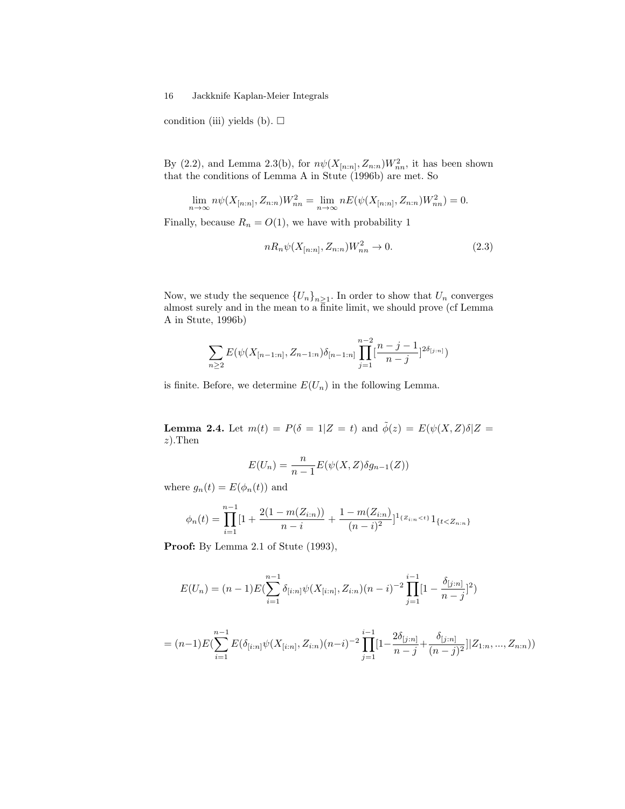condition (iii) yields (b).  $\Box$ 

By (2.2), and Lemma 2.3(b), for  $n\psi(X_{[n:n]}, Z_{n:n})W^2_{nn}$ , it has been shown that the conditions of Lemma A in Stute (1996b) are met. So

$$
\lim_{n \to \infty} n\psi(X_{[n:n]}, Z_{n:n})W_{nn}^2 = \lim_{n \to \infty} nE(\psi(X_{[n:n]}, Z_{n:n})W_{nn}^2) = 0.
$$

Finally, because  $R_n = O(1)$ , we have with probability 1

$$
nR_n\psi(X_{[n:n]}, Z_{n:n})W_{nn}^2 \to 0. \tag{2.3}
$$

Now, we study the sequence  ${U_n}_{n \geq 1}$ . In order to show that  $U_n$  converges almost surely and in the mean to a finite limit, we should prove (cf Lemma A in Stute, 1996b)

$$
\sum_{n\geq 2} E(\psi(X_{[n-1:n]}, Z_{n-1:n})\delta_{[n-1:n]}\prod_{j=1}^{n-2}[\frac{n-j-1}{n-j}]^{2\delta_{[j:n]}})
$$

is finite. Before, we determine  $E(U_n)$  in the following Lemma.

**Lemma 2.4.** Let  $m(t) = P(\delta = 1 | Z = t)$  and  $\tilde{\phi}(z) = E(\psi(X, Z)\delta | Z = t)$ z).Then

$$
E(U_n) = \frac{n}{n-1} E(\psi(X, Z)\delta g_{n-1}(Z))
$$

where  $g_n(t) = E(\phi_n(t))$  and

$$
\phi_n(t) = \prod_{i=1}^{n-1} \left[1 + \frac{2(1 - m(Z_{i:n}))}{n - i} + \frac{1 - m(Z_{i:n})}{(n - i)^2}\right]^{1_{\{Z_{i:n} < t\}}} 1_{\{t < Z_{n:n}\}}
$$

Proof: By Lemma 2.1 of Stute (1993),

$$
E(U_n) = (n-1)E\left(\sum_{i=1}^{n-1} \delta_{[i:n]}\psi(X_{[i:n]}, Z_{i:n})(n-i)^{-2}\prod_{j=1}^{i-1} [1 - \frac{\delta_{[j:n]}}{n-j}]^2\right)
$$

$$
= (n-1)E(\sum_{i=1}^{n-1} E(\delta_{[i:n]}\psi(X_{[i:n]},Z_{i:n})(n-i)^{-2}\prod_{j=1}^{i-1}[1-\frac{2\delta_{[j:n]}}{n-j}+\frac{\delta_{[j:n]}}{(n-j)^2}] |Z_{1:n},...,Z_{n:n}))
$$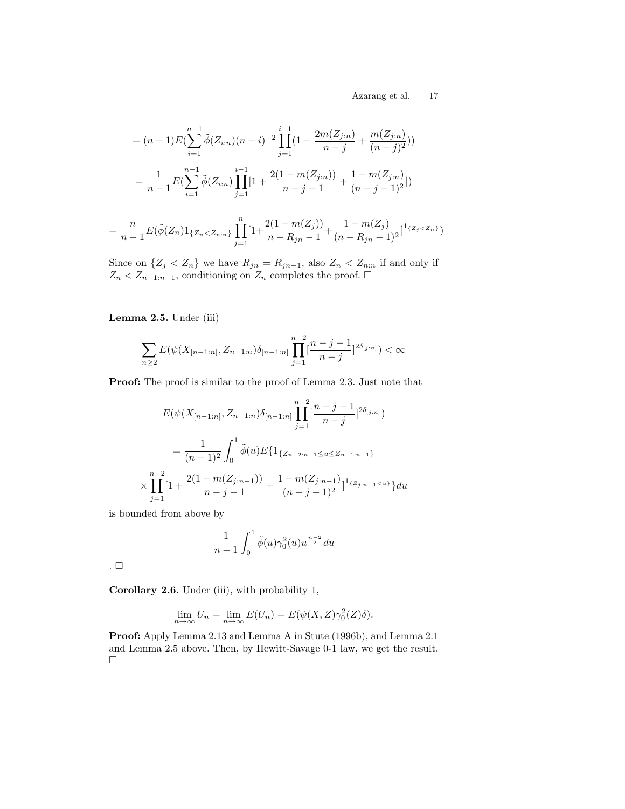$$
= (n-1)E(\sum_{i=1}^{n-1} \tilde{\phi}(Z_{i:n})(n-i)^{-2} \prod_{j=1}^{i-1} (1 - \frac{2m(Z_{j:n})}{n-j} + \frac{m(Z_{j:n})}{(n-j)^2}))
$$
  

$$
= \frac{1}{n-1}E(\sum_{i=1}^{n-1} \tilde{\phi}(Z_{i:n}) \prod_{j=1}^{i-1} [1 + \frac{2(1-m(Z_{j:n}))}{n-j-1} + \frac{1-m(Z_{j:n})}{(n-j-1)^2}])
$$

$$
= \frac{n}{n-1} E(\tilde{\phi}(Z_n) 1_{\{Z_n < Z_{n:n}\}} \prod_{j=1}^n [1 + \frac{2(1 - m(Z_j))}{n - R_{jn} - 1} + \frac{1 - m(Z_j)}{(n - R_{jn} - 1)^2}]^{1_{\{Z_j < Z_n\}}}
$$

Since on  $\{Z_j < Z_n\}$  we have  $R_{jn} = R_{jn-1}$ , also  $Z_n < Z_{n:n}$  if and only if  $Z_n < Z_{n-1:n-1}$ , conditioning on  $Z_n$  completes the proof.  $\square$ 

Lemma 2.5. Under (iii)

$$
\sum_{n\geq 2} E(\psi(X_{[n-1:n]}, Z_{n-1:n})\delta_{[n-1:n]}) \prod_{j=1}^{n-2} \left[\frac{n-j-1}{n-j}\right]^{2\delta_{[j:n]}} < \infty
$$

Proof: The proof is similar to the proof of Lemma 2.3. Just note that

$$
E(\psi(X_{[n-1:n]}, Z_{n-1:n})\delta_{[n-1:n]}\prod_{j=1}^{n-2}[\frac{n-j-1}{n-j}]^{2\delta_{[j:n]}})
$$
  
= 
$$
\frac{1}{(n-1)^2} \int_0^1 \tilde{\phi}(u) E\{1_{\{Z_{n-2:n-1}\leq u \leq Z_{n-1:n-1}\}}\times \prod_{j=1}^{n-2} [1 + \frac{2(1-m(Z_{j:n-1}))}{n-j-1} + \frac{1-m(Z_{j:n-1})}{(n-j-1)^2}]^{1_{\{Z_{j:n-1}\leq u\}}} du
$$

is bounded from above by

$$
\frac{1}{n-1}\int_0^1 \tilde{\phi}(u)\gamma_0^2(u)u^{\frac{n-2}{2}}du
$$

.

Corollary 2.6. Under (iii), with probability 1,

$$
\lim_{n \to \infty} U_n = \lim_{n \to \infty} E(U_n) = E(\psi(X, Z)\gamma_0^2(Z)\delta).
$$

Proof: Apply Lemma 2.13 and Lemma A in Stute (1996b), and Lemma 2.1 and Lemma 2.5 above. Then, by Hewitt-Savage 0-1 law, we get the result.  $\Box$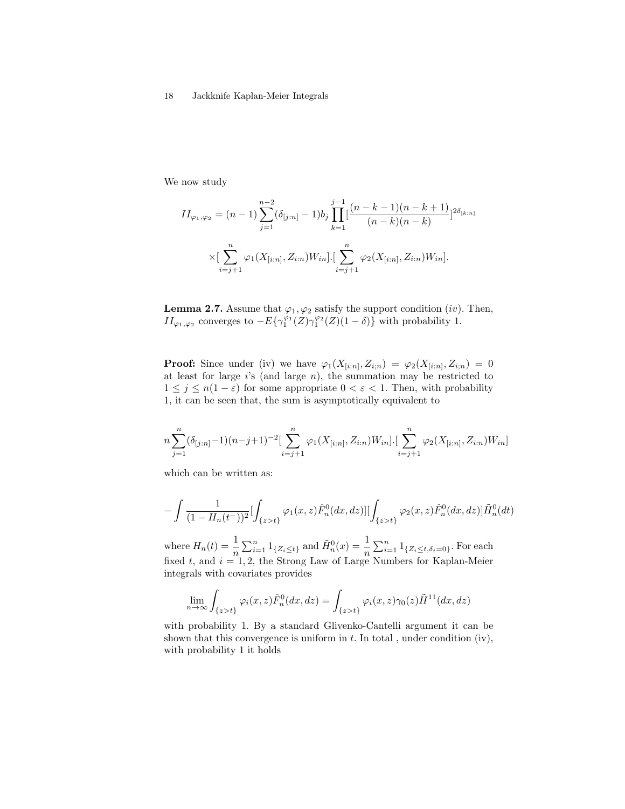We now study

$$
II_{\varphi_1, \varphi_2} = (n-1) \sum_{j=1}^{n-2} (\delta_{[j:n]} - 1) b_j \prod_{k=1}^{j-1} \left[ \frac{(n-k-1)(n-k+1)}{(n-k)(n-k)} \right]^{2\delta_{[k:n]}}
$$

$$
\times \left[ \sum_{i=j+1}^n \varphi_1(X_{[i:n]}, Z_{i:n}) W_{in} \right] \cdot \left[ \sum_{i=j+1}^n \varphi_2(X_{[i:n]}, Z_{i:n}) W_{in} \right].
$$

**Lemma 2.7.** Assume that  $\varphi_1, \varphi_2$  satisfy the support condition *(iv)*. Then,  $II_{\varphi_1,\varphi_2}$  converges to  $-E\{\gamma_1^{\varphi_1}(Z)\gamma_1^{\varphi_2}(Z)(1-\delta)\}\$  with probability 1.

**Proof:** Since under (iv) we have  $\varphi_1(X_{[i:n]}, Z_{i,n}) = \varphi_2(X_{[i:n]}, Z_{i,n}) = 0$ at least for large  $i$ 's (and large  $n$ ), the summation may be restricted to  $1 \leq j \leq n(1-\varepsilon)$  for some appropriate  $0 < \varepsilon < 1$ . Then, with probability 1, it can be seen that, the sum is asymptotically equivalent to

$$
n\sum_{j=1}^{n}(\delta_{[j:n]}-1)(n-j+1)^{-2}\left[\sum_{i=j+1}^{n}\varphi_{1}(X_{[i:n]},Z_{i:n})W_{in}\right]\left[\sum_{i=j+1}^{n}\varphi_{2}(X_{[i:n]},Z_{i:n})W_{in}\right]
$$

which can be written as:

$$
-\int \frac{1}{(1-H_n(t^-))^2} [\int_{\{z>t\}} \varphi_1(x,z) \hat{F}_n^0(dx,dz)][\int_{\{z>t\}} \varphi_2(x,z) \hat{F}_n^0(dx,dz)] \tilde{H}_n^0(dt)
$$

where  $H_n(t) = \frac{1}{n} \sum_{i=1}^n 1_{\{Z_i \le t\}}$  and  $\tilde{H}_n^0(x) = \frac{1}{n} \sum_{i=1}^n 1_{\{Z_i \le t, \delta_i = 0\}}$ . For each fixed t, and  $i = 1, 2$ , the Strong Law of Large Numbers for Kaplan-Meier integrals with covariates provides

$$
\lim_{n \to \infty} \int_{\{z > t\}} \varphi_i(x, z) \hat{F}_n^0(dx, dz) = \int_{\{z > t\}} \varphi_i(x, z) \gamma_0(z) \tilde{H}^{11}(dx, dz)
$$

with probability 1. By a standard Glivenko-Cantelli argument it can be shown that this convergence is uniform in  $t$ . In total, under condition (iv), with probability 1 it holds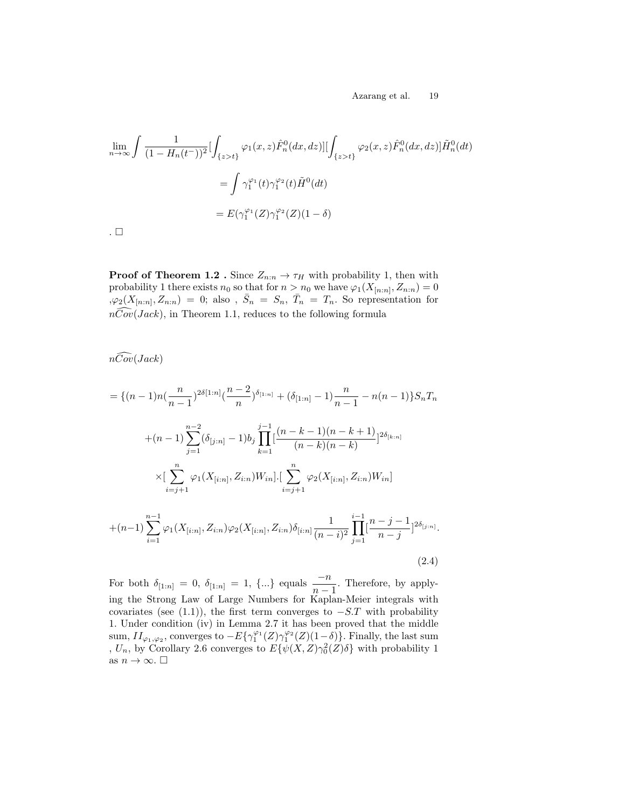$$
\lim_{n \to \infty} \int \frac{1}{(1 - H_n(t^-))^2} \left[ \int_{\{z > t\}} \varphi_1(x, z) \hat{F}_n^0(dx, dz) \right] \left[ \int_{\{z > t\}} \varphi_2(x, z) \hat{F}_n^0(dx, dz) \right] \tilde{H}_n^0(dt)
$$

$$
= \int \gamma_1^{\varphi_1}(t) \gamma_1^{\varphi_2}(t) \tilde{H}^0(dt)
$$

$$
= E(\gamma_1^{\varphi_1}(Z) \gamma_1^{\varphi_2}(Z)(1 - \delta)
$$

.  $\Box$ 

**Proof of Theorem 1.2** . Since  $Z_{n:n} \to \tau_H$  with probability 1, then with probability 1 there exists  $n_0$  so that for  $n > n_0$  we have  $\varphi_1(X_{[n:n]}, Z_{n:n}) = 0$  $\bar{\mathcal{S}}_{\varphi(}X_{[n:n]}, Z_{n:n}) = 0;$  also,  $\bar{S}_n = S_n, \bar{T}_n = T_n$ . So representation for  $n\widehat{Cov}(Jack)$ , in Theorem 1.1, reduces to the following formula

 $n\widehat{Cov}(Jack)$ 

$$
= \{(n-1)n(\frac{n}{n-1})^{2\delta[1:n]}(\frac{n-2}{n})^{\delta_{[1:n]}} + (\delta_{[1:n]} - 1)\frac{n}{n-1} - n(n-1)\}S_nT_n
$$
  
+
$$
(n-1)\sum_{j=1}^{n-2}(\delta_{[j:n]} - 1)b_j\prod_{k=1}^{j-1}[(\frac{n-k-1)(n-k+1)}{(n-k)(n-k)}]^{2\delta_{[k:n]}}
$$
  

$$
\times[\sum_{i=j+1}^{n}\varphi_1(X_{[i:n]}, Z_{i:n})W_{in}].[\sum_{i=j+1}^{n}\varphi_2(X_{[i:n]}, Z_{i:n})W_{in}]
$$
  
+
$$
(n-1)\sum_{i=1}^{n-1}\varphi_1(X_{[i:n]}, Z_{i:n})\varphi_2(X_{[i:n]}, Z_{i:n})\delta_{[i:n]} \frac{1}{(n-i)^2}\prod_{j=1}^{i-1}[\frac{n-j-1}{n-j}]^{2\delta_{[j:n]}}.
$$
  
(2.4)

For both  $\delta_{[1:n]} = 0$ ,  $\delta_{[1:n]} = 1$ ,  $\{...\}$  equals  $\frac{-n}{n-1}$ . Therefore, by applying the Strong Law of Large Numbers for Kaplan-Meier integrals with covariates (see (1.1)), the first term converges to  $-S.T$  with probability 1. Under condition (iv) in Lemma 2.7 it has been proved that the middle sum,  $II_{\varphi_1,\varphi_2}$ , converges to  $-E\{\gamma_1^{\varphi_1}(Z)\gamma_1^{\varphi_2}(Z)(1-\delta)\}\)$ . Finally, the last sum ,  $U_n$ , by Corollary 2.6 converges to  $E{\psi(X,Z)\gamma_0^2(Z)\delta}$  with probability 1 as  $n \to \infty$ .  $\square$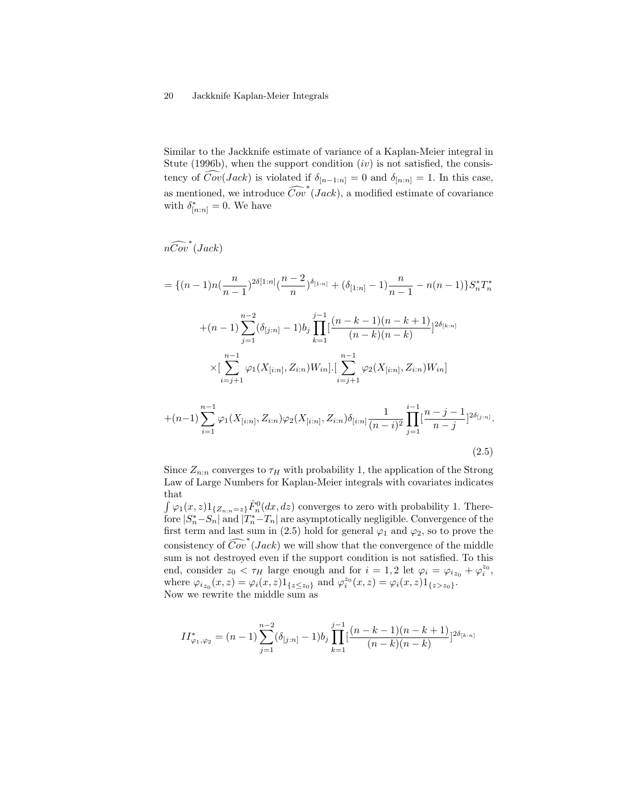Similar to the Jackknife estimate of variance of a Kaplan-Meier integral in Stute (1996b), when the support condition  $(iv)$  is not satisfied, the consistency of  $Cov(Jack)$  is violated if  $\delta_{[n-1:n]} = 0$  and  $\delta_{[n:n]} = 1$ . In this case, as mentioned, we introduce  $\widehat{Cov}^*(Jack)$ , a modified estimate of covariance with  $\delta^*_{[n:n]} = 0$ . We have

 $n\widehat{Cov}^*(Jack)$ 

$$
= \{(n-1)n(\frac{n}{n-1})^{2\delta[1:n]}(\frac{n-2}{n})^{\delta_{[1:n]}} + (\delta_{[1:n]} - 1)\frac{n}{n-1} - n(n-1)\}S_n^*T_n^*
$$
  
+
$$
(n-1)\sum_{j=1}^{n-2} (\delta_{[j:n]} - 1)b_j \prod_{k=1}^{j-1} \frac{(n-k-1)(n-k+1)}{(n-k)(n-k)} 2^{\delta_{[k:n]}}
$$
  

$$
\times [\sum_{i=j+1}^{n-1} \varphi_1(X_{[i:n]}, Z_{i:n})W_{in}] \cdot [\sum_{i=j+1}^{n-1} \varphi_2(X_{[i:n]}, Z_{i:n})W_{in}]
$$
  
+
$$
(n-1)\sum_{i=1}^{n-1} \varphi_1(X_{[i:n]}, Z_{i:n})\varphi_2(X_{[i:n]}, Z_{i:n})\delta_{[i:n]} \frac{1}{(n-i)^2} \prod_{j=1}^{i-1} [\frac{n-j-1}{n-j}]^{2\delta_{[j:n]}}
$$

Since  $Z_{n:n}$  converges to  $\tau_H$  with probability 1, the application of the Strong Law of Large Numbers for Kaplan-Meier integrals with covariates indicates that

.

(2.5)

 $\int \varphi_1(x, z) 1_{\{Z_{n:n}=z\}} \hat{F}_n^0(dx, dz)$  converges to zero with probability 1. Therefore  $|S_n^*-S_n|$  and  $|T_n^*-T_n|$  are asymptotically negligible. Convergence of the first term and last sum in (2.5) hold for general  $\varphi_1$  and  $\varphi_2$ , so to prove the consistency of  $\widehat{Cov}^*(Jack)$  we will show that the convergence of the middle sum is not destroyed even if the support condition is not satisfied. To this end, consider  $z_0 < \tau_H$  large enough and for  $i = 1, 2$  let  $\varphi_i = \varphi_{iz_0} + \varphi_i^{z_0}$ , where  $\varphi_{i z_0}(x, z) = \varphi_i(x, z) 1_{\{z \le z_0\}}$  and  $\varphi_i^{z_0}(x, z) = \varphi_i(x, z) 1_{\{z > z_0\}}$ . Now we rewrite the middle sum as

$$
II^*_{\varphi_1,\varphi_2} = (n-1) \sum_{j=1}^{n-2} (\delta_{[j:n]}-1) b_j \prod_{k=1}^{j-1} \left[ \frac{(n-k-1)(n-k+1)}{(n-k)(n-k)} \right]^{2\delta_{[k:n]}}
$$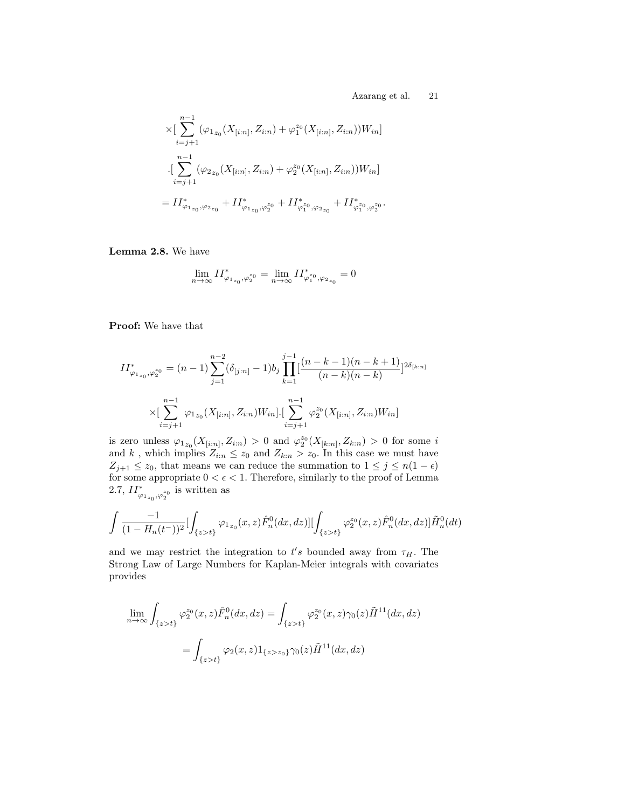$$
\times [\sum_{i=j+1}^{n-1} (\varphi_{1_{z_0}}(X_{[i:n]}, Z_{i:n}) + \varphi_1^{z_0}(X_{[i:n]}, Z_{i:n}))W_{in}]
$$
  

$$
\cdot [\sum_{i=j+1}^{n-1} (\varphi_{2_{z_0}}(X_{[i:n]}, Z_{i:n}) + \varphi_2^{z_0}(X_{[i:n]}, Z_{i:n}))W_{in}]
$$
  

$$
= II_{\varphi_{1_{z_0}}, \varphi_{2_{z_0}}}^* + II_{\varphi_{1_{z_0}}, \varphi_2^{z_0}}^* + II_{\varphi_1^{z_0}, \varphi_{2_{z_0}}}^* + II_{\varphi_1^{z_0}, \varphi_2^{z_0}}^*.
$$

Lemma 2.8. We have

$$
\lim_{n\rightarrow\infty}II^*_{\varphi_{1_{z_0}},\varphi_2^{z_0}}=\lim_{n\rightarrow\infty}II^*_{\varphi_1^{z_0},\varphi_{2_{z_0}}}=0
$$

Proof: We have that

$$
II_{\varphi_{1_{z_0}},\varphi_2^{z_0}}^* = (n-1) \sum_{j=1}^{n-2} (\delta_{[j:n]}-1) b_j \prod_{k=1}^{j-1} \left[ \frac{(n-k-1)(n-k+1)}{(n-k)(n-k)} \right]^{2\delta_{[k:n]}}
$$

$$
\times \left[ \sum_{i=j+1}^{n-1} \varphi_{1_{z_0}} (X_{[i:n]}, Z_{i:n}) W_{in} \right] \cdot \left[ \sum_{i=j+1}^{n-1} \varphi_2^{z_0} (X_{[i:n]}, Z_{i:n}) W_{in} \right]
$$

is zero unless  $\varphi_{1_{z_0}}(X_{[i:n]}, Z_{i:n}) > 0$  and  $\varphi_2^{z_0}(X_{[k:n]}, Z_{k:n}) > 0$  for some i and k, which implies  $Z_{i:n} \leq z_0$  and  $Z_{k:n} > z_0$ . In this case we must have  $Z_{j+1} \leq z_0$ , that means we can reduce the summation to  $1 \leq j \leq n(1-\epsilon)$ for some appropriate  $0<\epsilon<1.$  Therefore, similarly to the proof of Lemma 2.7,  $II^*_{\varphi_{1_{z_0}},\varphi_2^{z_0}}$  is written as

$$
\int \frac{-1}{(1-H_n(t^-))^2} [\int_{\{z>t\}} \varphi_{1_{z_0}}(x,z) \hat{F}_n^0(dx,dz)] [\int_{\{z>t\}} \varphi_2^{z_0}(x,z) \hat{F}_n^0(dx,dz)] \tilde{H}_n^0(dt)
$$

and we may restrict the integration to  $t's$  bounded away from  $\tau_H$ . The Strong Law of Large Numbers for Kaplan-Meier integrals with covariates provides

$$
\lim_{n \to \infty} \int_{\{z > t\}} \varphi_2^{z_0}(x, z) \hat{F}_n^0(dx, dz) = \int_{\{z > t\}} \varphi_2^{z_0}(x, z) \gamma_0(z) \tilde{H}^{11}(dx, dz)
$$

$$
= \int_{\{z > t\}} \varphi_2(x, z) 1_{\{z > z_0\}} \gamma_0(z) \tilde{H}^{11}(dx, dz)
$$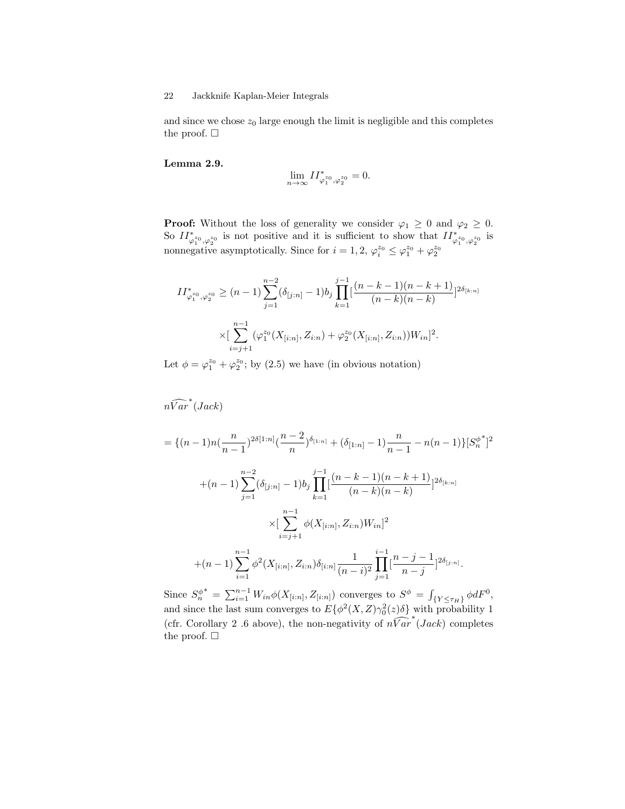and since we chose  $z_0$  large enough the limit is negligible and this completes the proof.  $\square$ 

#### Lemma 2.9.

$$
\lim_{n\to\infty}II_{\varphi_1^{z_0},\varphi_2^{z_0}}^*=0.
$$

**Proof:** Without the loss of generality we consider  $\varphi_1 \geq 0$  and  $\varphi_2 \geq 0$ . So  $II^*_{\varphi_1^{z_0},\varphi_2^{z_0}}$  is not positive and it is sufficient to show that  $II^*_{\varphi_1^{z_0},\varphi_2^{z_0}}$  is nonnegative asymptotically. Since for  $i = 1, 2, \varphi_i^{z_0} \leq \varphi_1^{z_0} + \varphi_2^{z_0}$ 

$$
II_{\varphi_1^{z_0}, \varphi_2^{z_0}}^{*} \ge (n-1) \sum_{j=1}^{n-2} (\delta_{[j:n]} - 1) b_j \prod_{k=1}^{j-1} \left[ \frac{(n-k-1)(n-k+1)}{(n-k)(n-k)} \right]^{2\delta_{[k:n]}}
$$

$$
\times \left[ \sum_{i=j+1}^{n-1} (\varphi_1^{z_0}(X_{[i:n]}, Z_{i:n}) + \varphi_2^{z_0}(X_{[i:n]}, Z_{i:n})) W_{in} \right]^2.
$$

Let  $\phi = \varphi_1^{z_0} + \varphi_2^{z_0}$ ; by (2.5) we have (in obvious notation)

 $n\widehat{Var}^*(Jack)$ 

$$
= \{(n-1)n(\frac{n}{n-1})^{2\delta[1:n]}(\frac{n-2}{n})^{\delta_{[1:n]}} + (\delta_{[1:n]} - 1)\frac{n}{n-1} - n(n-1)\}[S_n^{\phi^*}]^2
$$
  
+
$$
(n-1)\sum_{j=1}^{n-2} (\delta_{[j:n]} - 1)b_j \prod_{k=1}^{j-1} \frac{(n-k-1)(n-k+1)}{(n-k)(n-k)} 2^{\delta_{[k:n]}}
$$
  

$$
\times \left[\sum_{i=j+1}^{n-1} \phi(X_{[i:n]}, Z_{i:n})W_{in}\right]^2
$$
  
+
$$
(n-1)\sum_{i=1}^{n-1} \phi^2(X_{[i:n]}, Z_{i:n})\delta_{[i:n]} \frac{1}{(n-i)^2} \prod_{j=1}^{i-1} \frac{n-j-1}{n-j} 2^{\delta_{[j:n]}}.
$$

Since  $S_n^{\phi}$ <sup>\*</sup> =  $\sum_{i=1}^{n-1} W_{in} \phi(X_{[i:n]}, Z_{[i:n]})$  converges to  $S^{\phi} = \int_{\{Y \leq \tau_H\}} \phi dF^0$ , and since the last sum converges to  $E\{\phi^2(X,Z)\gamma_0^2(z)\delta\}$  with probability 1 (cfr. Corollary 2 .6 above), the non-negativity of  $n\widetilde{Var}^*(Jack)$  completes the proof.  $\square$